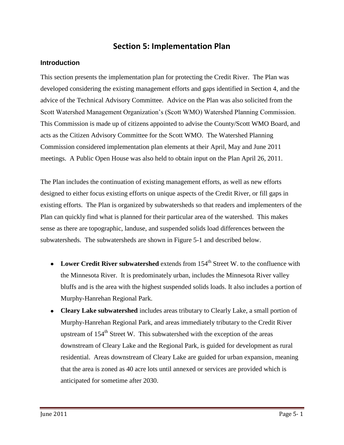## **Section 5: Implementation Plan**

#### **Introduction**

This section presents the implementation plan for protecting the Credit River. The Plan was developed considering the existing management efforts and gaps identified in Section 4, and the advice of the Technical Advisory Committee. Advice on the Plan was also solicited from the Scott Watershed Management Organization's (Scott WMO) Watershed Planning Commission. This Commission is made up of citizens appointed to advise the County/Scott WMO Board, and acts as the Citizen Advisory Committee for the Scott WMO. The Watershed Planning Commission considered implementation plan elements at their April, May and June 2011 meetings. A Public Open House was also held to obtain input on the Plan April 26, 2011.

The Plan includes the continuation of existing management efforts, as well as new efforts designed to either focus existing efforts on unique aspects of the Credit River, or fill gaps in existing efforts. The Plan is organized by subwatersheds so that readers and implementers of the Plan can quickly find what is planned for their particular area of the watershed. This makes sense as there are topographic, landuse, and suspended solids load differences between the subwatersheds. The subwatersheds are shown in Figure 5-1 and described below.

- Lower Credit River subwatershed extends from 154<sup>th</sup> Street W. to the confluence with the Minnesota River. It is predominately urban, includes the Minnesota River valley bluffs and is the area with the highest suspended solids loads. It also includes a portion of Murphy-Hanrehan Regional Park.
- **Cleary Lake subwatershed** includes areas tributary to Clearly Lake, a small portion of Murphy-Hanrehan Regional Park, and areas immediately tributary to the Credit River upstream of  $154<sup>th</sup>$  Street W. This subwatershed with the exception of the areas downstream of Cleary Lake and the Regional Park, is guided for development as rural residential. Areas downstream of Cleary Lake are guided for urban expansion, meaning that the area is zoned as 40 acre lots until annexed or services are provided which is anticipated for sometime after 2030.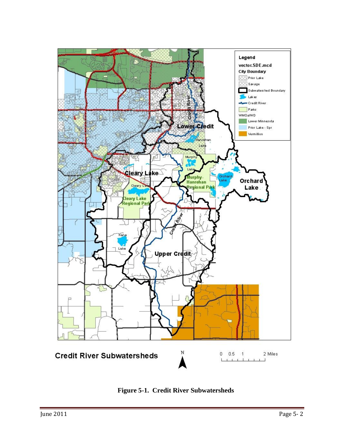

**Figure 5-1. Credit River Subwatersheds**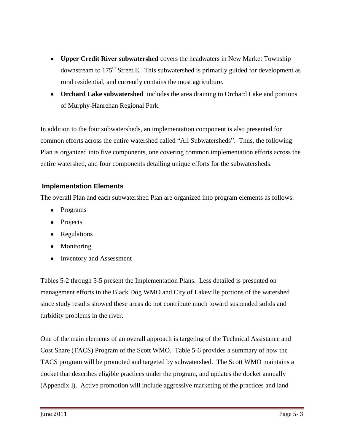- **Upper Credit River subwatershed** covers the headwaters in New Market Township downstream to 175<sup>th</sup> Street E. This subwatershed is primarily guided for development as rural residential, and currently contains the most agriculture.
- **Orchard Lake subwatershed** includes the area draining to Orchard Lake and portions of Murphy-Hanrehan Regional Park.

In addition to the four subwatersheds, an implementation component is also presented for common efforts across the entire watershed called "All Subwatersheds". Thus, the following Plan is organized into five components, one covering common implementation efforts across the entire watershed, and four components detailing unique efforts for the subwatersheds.

#### **Implementation Elements**

The overall Plan and each subwatershed Plan are organized into program elements as follows:

- Programs
- Projects
- Regulations
- Monitoring
- Inventory and Assessment

Tables 5-2 through 5-5 present the Implementation Plans. Less detailed is presented on management efforts in the Black Dog WMO and City of Lakeville portions of the watershed since study results showed these areas do not contribute much toward suspended solids and turbidity problems in the river.

One of the main elements of an overall approach is targeting of the Technical Assistance and Cost Share (TACS) Program of the Scott WMO. Table 5-6 provides a summary of how the TACS program will be promoted and targeted by subwatershed. The Scott WMO maintains a docket that describes eligible practices under the program, and updates the docket annually (Appendix I). Active promotion will include aggressive marketing of the practices and land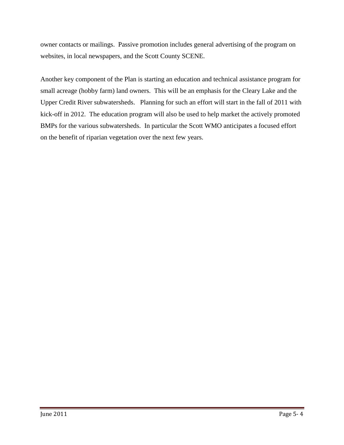owner contacts or mailings. Passive promotion includes general advertising of the program on websites, in local newspapers, and the Scott County SCENE.

Another key component of the Plan is starting an education and technical assistance program for small acreage (hobby farm) land owners. This will be an emphasis for the Cleary Lake and the Upper Credit River subwatersheds. Planning for such an effort will start in the fall of 2011 with kick-off in 2012. The education program will also be used to help market the actively promoted BMPs for the various subwatersheds. In particular the Scott WMO anticipates a focused effort on the benefit of riparian vegetation over the next few years.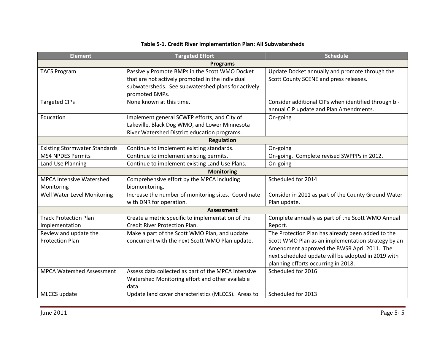| <b>Element</b>                       | <b>Targeted Effort</b><br><b>Schedule</b>           |                                                      |  |  |  |
|--------------------------------------|-----------------------------------------------------|------------------------------------------------------|--|--|--|
|                                      | <b>Programs</b>                                     |                                                      |  |  |  |
| <b>TACS Program</b>                  | Passively Promote BMPs in the Scott WMO Docket      | Update Docket annually and promote through the       |  |  |  |
|                                      | that are not actively promoted in the individual    | Scott County SCENE and press releases.               |  |  |  |
|                                      | subwatersheds. See subwatershed plans for actively  |                                                      |  |  |  |
|                                      | promoted BMPs.                                      |                                                      |  |  |  |
| <b>Targeted CIPs</b>                 | None known at this time.                            | Consider additional CIPs when identified through bi- |  |  |  |
|                                      |                                                     | annual CIP update and Plan Amendments.               |  |  |  |
| Education                            | Implement general SCWEP efforts, and City of        | On-going                                             |  |  |  |
|                                      | Lakeville, Black Dog WMO, and Lower Minnesota       |                                                      |  |  |  |
|                                      | River Watershed District education programs.        |                                                      |  |  |  |
|                                      | <b>Regulation</b>                                   |                                                      |  |  |  |
| <b>Existing Stormwater Standards</b> | Continue to implement existing standards.           | On-going                                             |  |  |  |
| <b>MS4 NPDES Permits</b>             | Continue to implement existing permits.             | On-going. Complete revised SWPPPs in 2012.           |  |  |  |
| Land Use Planning                    | Continue to implement existing Land Use Plans.      | On-going                                             |  |  |  |
| <b>Monitoring</b>                    |                                                     |                                                      |  |  |  |
| <b>MPCA Intensive Watershed</b>      | Comprehensive effort by the MPCA including          | Scheduled for 2014                                   |  |  |  |
| Monitoring                           | biomonitoring.                                      |                                                      |  |  |  |
| Well Water Level Monitoring          | Increase the number of monitoring sites. Coordinate | Consider in 2011 as part of the County Ground Water  |  |  |  |
| with DNR for operation.              |                                                     | Plan update.                                         |  |  |  |
|                                      | <b>Assessment</b>                                   |                                                      |  |  |  |
| <b>Track Protection Plan</b>         | Create a metric specific to implementation of the   | Complete annually as part of the Scott WMO Annual    |  |  |  |
| Implementation                       | Credit River Protection Plan.                       | Report.                                              |  |  |  |
| Review and update the                | Make a part of the Scott WMO Plan, and update       | The Protection Plan has already been added to the    |  |  |  |
| <b>Protection Plan</b>               | concurrent with the next Scott WMO Plan update.     | Scott WMO Plan as an implementation strategy by an   |  |  |  |
|                                      |                                                     | Amendment approved the BWSR April 2011. The          |  |  |  |
|                                      |                                                     | next scheduled update will be adopted in 2019 with   |  |  |  |
|                                      |                                                     | planning efforts occurring in 2018.                  |  |  |  |
| <b>MPCA Watershed Assessment</b>     | Assess data collected as part of the MPCA Intensive | Scheduled for 2016                                   |  |  |  |
|                                      | Watershed Monitoring effort and other available     |                                                      |  |  |  |
|                                      | data.                                               |                                                      |  |  |  |
| MLCCS update                         | Update land cover characteristics (MLCCS). Areas to | Scheduled for 2013                                   |  |  |  |

#### **Table 5-1. Credit River Implementation Plan: All Subwatersheds**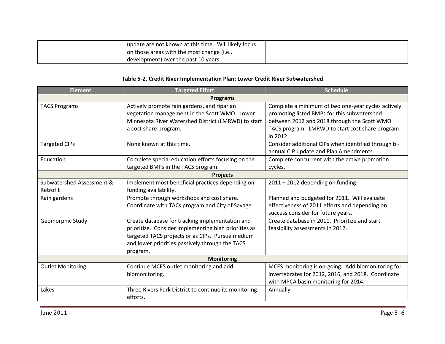| update are not known at this time. Will likely focus |  |
|------------------------------------------------------|--|
| on those areas with the most change (i.e.,           |  |
| development) over the past 10 years.                 |  |

#### **Table 5-2. Credit River Implementation Plan: Lower Credit River Subwatershed**

| <b>Element</b>            | <b>Targeted Effort</b>                                | <b>Schedule</b>                                      |  |
|---------------------------|-------------------------------------------------------|------------------------------------------------------|--|
|                           | <b>Programs</b>                                       |                                                      |  |
| <b>TACS Programs</b>      | Actively promote rain gardens, and riparian           | Complete a minimum of two one-year cycles actively   |  |
|                           | vegetation management in the Scott WMO. Lower         | promoting listed BMPs for this subwatershed          |  |
|                           | Minnesota River Watershed District (LMRWD) to start   | between 2012 and 2018 through the Scott WMO          |  |
|                           | a cost share program.                                 | TACS program. LMRWD to start cost share program      |  |
|                           |                                                       | in 2012.                                             |  |
| <b>Targeted CIPs</b>      | None known at this time.                              | Consider additional CIPs when identified through bi- |  |
|                           |                                                       | annual CIP update and Plan Amendments.               |  |
| Education                 | Complete special education efforts focusing on the    | Complete concurrent with the active promotion        |  |
|                           | targeted BMPs in the TACS program.                    | cycles.                                              |  |
| <b>Projects</b>           |                                                       |                                                      |  |
| Subwatershed Assessment & | Implement most beneficial practices depending on      | 2011 - 2012 depending on funding.                    |  |
| Retrofit                  | funding availability.                                 |                                                      |  |
| Rain gardens              | Promote through workshops and cost share.             | Planned and budgeted for 2011. Will evaluate         |  |
|                           | Coordinate with TACs program and City of Savage.      | effectiveness of 2011 efforts and depending on       |  |
|                           |                                                       | success consider for future years.                   |  |
| Geomorphic Study          | Create database for tracking implementation and       | Create database in 2011. Prioritize and start        |  |
|                           | prioritize. Consider implementing high priorities as  | feasibility assessments in 2012.                     |  |
|                           | targeted TACS projects or as CIPs. Pursue medium      |                                                      |  |
|                           | and lower priorities passively through the TACS       |                                                      |  |
| program.                  |                                                       |                                                      |  |
| <b>Monitoring</b>         |                                                       |                                                      |  |
| <b>Outlet Monitoring</b>  | Continue MCES outlet monitoring and add               | MCES monitoring is on-going. Add biomonitoring for   |  |
|                           | biomonitoring.                                        | invertebrates for 2012, 2016, and 2018. Coordinate   |  |
|                           |                                                       | with MPCA basin monitoring for 2014.                 |  |
| Lakes                     | Three Rivers Park District to continue its monitoring | Annually                                             |  |
|                           | efforts.                                              |                                                      |  |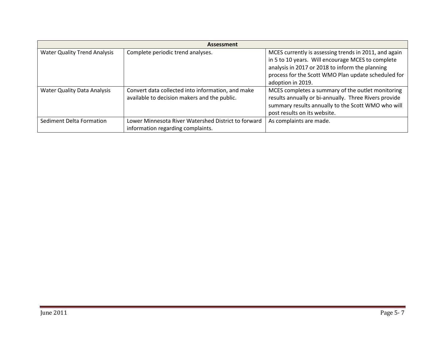| <b>Assessment</b>                   |                                                                                                   |                                                                                                                                                                                                                                           |  |
|-------------------------------------|---------------------------------------------------------------------------------------------------|-------------------------------------------------------------------------------------------------------------------------------------------------------------------------------------------------------------------------------------------|--|
| <b>Water Quality Trend Analysis</b> | Complete periodic trend analyses.                                                                 | MCES currently is assessing trends in 2011, and again<br>in 5 to 10 years. Will encourage MCES to complete<br>analysis in 2017 or 2018 to inform the planning<br>process for the Scott WMO Plan update scheduled for<br>adoption in 2019. |  |
| <b>Water Quality Data Analysis</b>  | Convert data collected into information, and make<br>available to decision makers and the public. | MCES completes a summary of the outlet monitoring<br>results annually or bi-annually. Three Rivers provide<br>summary results annually to the Scott WMO who will<br>post results on its website.                                          |  |
| Sediment Delta Formation            | Lower Minnesota River Watershed District to forward<br>information regarding complaints.          | As complaints are made.                                                                                                                                                                                                                   |  |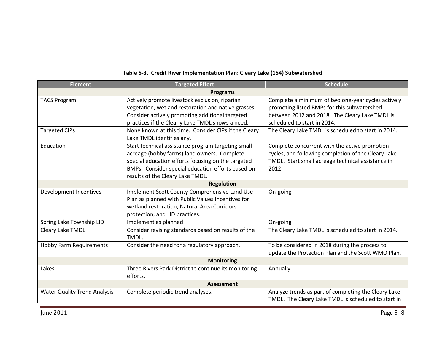| <b>Element</b>                      | <b>Targeted Effort</b>                                                                               | <b>Schedule</b>                                      |  |  |
|-------------------------------------|------------------------------------------------------------------------------------------------------|------------------------------------------------------|--|--|
|                                     | <b>Programs</b>                                                                                      |                                                      |  |  |
| <b>TACS Program</b>                 | Actively promote livestock exclusion, riparian<br>Complete a minimum of two one-year cycles actively |                                                      |  |  |
|                                     | vegetation, wetland restoration and native grasses.                                                  | promoting listed BMPs for this subwatershed          |  |  |
|                                     | Consider actively promoting additional targeted                                                      | between 2012 and 2018. The Cleary Lake TMDL is       |  |  |
|                                     | practices if the Clearly Lake TMDL shows a need.                                                     | scheduled to start in 2014.                          |  |  |
| <b>Targeted CIPs</b>                | None known at this time. Consider CIPs if the Cleary                                                 | The Cleary Lake TMDL is scheduled to start in 2014.  |  |  |
|                                     | Lake TMDL identifies any.                                                                            |                                                      |  |  |
| Education                           | Start technical assistance program targeting small                                                   | Complete concurrent with the active promotion        |  |  |
|                                     | acreage (hobby farms) land owners. Complete                                                          | cycles, and following completion of the Cleary Lake  |  |  |
|                                     | special education efforts focusing on the targeted                                                   | TMDL. Start small acreage technical assistance in    |  |  |
|                                     | BMPs. Consider special education efforts based on                                                    | 2012.                                                |  |  |
| results of the Cleary Lake TMDL.    |                                                                                                      |                                                      |  |  |
| <b>Regulation</b>                   |                                                                                                      |                                                      |  |  |
| Development Incentives              | Implement Scott County Comprehensive Land Use                                                        | On-going                                             |  |  |
|                                     | Plan as planned with Public Values Incentives for                                                    |                                                      |  |  |
|                                     | wetland restoration, Natural Area Corridors                                                          |                                                      |  |  |
|                                     | protection, and LID practices.                                                                       |                                                      |  |  |
| Spring Lake Township LID            | Implement as planned                                                                                 | On-going                                             |  |  |
| Cleary Lake TMDL                    | Consider revising standards based on results of the                                                  | The Cleary Lake TMDL is scheduled to start in 2014.  |  |  |
|                                     | TMDL.                                                                                                |                                                      |  |  |
| <b>Hobby Farm Requirements</b>      | Consider the need for a regulatory approach.                                                         | To be considered in 2018 during the process to       |  |  |
|                                     |                                                                                                      | update the Protection Plan and the Scott WMO Plan.   |  |  |
| <b>Monitoring</b>                   |                                                                                                      |                                                      |  |  |
| Lakes                               | Three Rivers Park District to continue its monitoring                                                | Annually                                             |  |  |
|                                     | efforts.                                                                                             |                                                      |  |  |
|                                     | <b>Assessment</b>                                                                                    |                                                      |  |  |
| <b>Water Quality Trend Analysis</b> | Complete periodic trend analyses.                                                                    | Analyze trends as part of completing the Cleary Lake |  |  |
|                                     |                                                                                                      | TMDL. The Cleary Lake TMDL is scheduled to start in  |  |  |

# **Table 5-3. Credit River Implementation Plan: Cleary Lake (154) Subwatershed**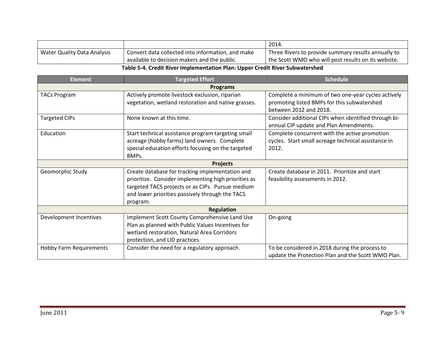|                                                                              |                                                   | 2014.                                               |
|------------------------------------------------------------------------------|---------------------------------------------------|-----------------------------------------------------|
| <b>Water Quality Data Analysis</b>                                           | Convert data collected into information, and make | Three Rivers to provide summary results annually to |
|                                                                              | available to decision makers and the public.      | the Scott WMO who will post results on its website. |
| Table 5-4. Credit River Implementation Plan: Upper Credit River Subwatershed |                                                   |                                                     |

| <b>Element</b>          | <b>Targeted Effort</b>                               | <b>Schedule</b>                                      |  |
|-------------------------|------------------------------------------------------|------------------------------------------------------|--|
|                         | <b>Programs</b>                                      |                                                      |  |
| <b>TACs Program</b>     | Actively promote livestock exclusion, riparian       | Complete a minimum of two one-year cycles actively   |  |
|                         | vegetation, wetland restoration and native grasses.  | promoting listed BMPs for this subwatershed          |  |
|                         |                                                      | between 2012 and 2018.                               |  |
| <b>Targeted CIPs</b>    | None known at this time.                             | Consider additional CIPs when identified through bi- |  |
|                         |                                                      | annual CIP update and Plan Amendments.               |  |
| Education               | Start technical assistance program targeting small   | Complete concurrent with the active promotion        |  |
|                         | acreage (hobby farms) land owners. Complete          | cycles. Start small acreage technical assistance in  |  |
|                         | special education efforts focusing on the targeted   | 2012.                                                |  |
| BMPs.                   |                                                      |                                                      |  |
|                         | <b>Projects</b>                                      |                                                      |  |
| Geomorphic Study        | Create database for tracking implementation and      | Create database in 2011. Prioritize and start        |  |
|                         | prioritize. Consider implementing high priorities as | feasibility assessments in 2012.                     |  |
|                         | targeted TACS projects or as CIPs. Pursue medium     |                                                      |  |
|                         | and lower priorities passively through the TACS      |                                                      |  |
| program.                |                                                      |                                                      |  |
|                         | <b>Regulation</b>                                    |                                                      |  |
| Development Incentives  | Implement Scott County Comprehensive Land Use        | On-going                                             |  |
|                         | Plan as planned with Public Values Incentives for    |                                                      |  |
|                         | wetland restoration, Natural Area Corridors          |                                                      |  |
|                         | protection, and LID practices.                       |                                                      |  |
| Hobby Farm Requirements | Consider the need for a regulatory approach.         | To be considered in 2018 during the process to       |  |
|                         |                                                      | update the Protection Plan and the Scott WMO Plan.   |  |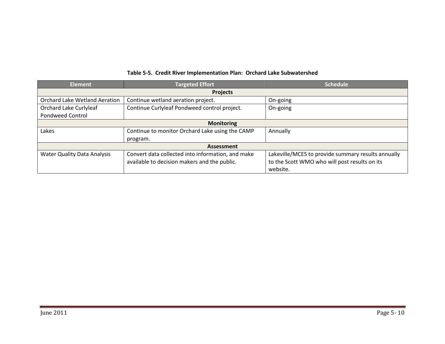| <b>Element</b>                       | <b>Targeted Effort</b>                            | <b>Schedule</b>                                    |  |  |
|--------------------------------------|---------------------------------------------------|----------------------------------------------------|--|--|
|                                      | <b>Projects</b>                                   |                                                    |  |  |
| <b>Orchard Lake Wetland Aeration</b> | Continue wetland aeration project.                | On-going                                           |  |  |
| Orchard Lake Curlyleaf               | Continue Curlyleaf Pondweed control project.      | On-going                                           |  |  |
| <b>Pondweed Control</b>              |                                                   |                                                    |  |  |
| <b>Monitoring</b>                    |                                                   |                                                    |  |  |
| Lakes                                | Continue to monitor Orchard Lake using the CAMP   | Annually                                           |  |  |
|                                      | program.                                          |                                                    |  |  |
| <b>Assessment</b>                    |                                                   |                                                    |  |  |
| <b>Water Quality Data Analysis</b>   | Convert data collected into information, and make | Lakeville/MCES to provide summary results annually |  |  |
|                                      | available to decision makers and the public.      | to the Scott WMO who will post results on its      |  |  |
|                                      |                                                   | website.                                           |  |  |

#### **Table 5-5. Credit River Implementation Plan: Orchard Lake Subwatershed**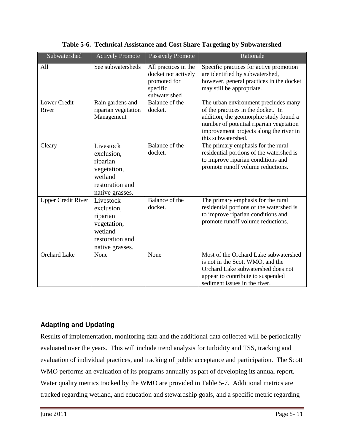| Subwatershed                 | <b>Actively Promote</b>                                                                             | <b>Passively Promote</b>                                                                | Rationale                                                                                                                                                                                                                        |
|------------------------------|-----------------------------------------------------------------------------------------------------|-----------------------------------------------------------------------------------------|----------------------------------------------------------------------------------------------------------------------------------------------------------------------------------------------------------------------------------|
| All                          | See subwatersheds                                                                                   | All practices in the<br>docket not actively<br>promoted for<br>specific<br>subwatershed | Specific practices for active promotion<br>are identified by subwatershed,<br>however, general practices in the docket<br>may still be appropriate.                                                                              |
| <b>Lower Credit</b><br>River | Rain gardens and<br>riparian vegetation<br>Management                                               | Balance of the<br>docket.                                                               | The urban environment precludes many<br>of the practices in the docket. In<br>addition, the geomorphic study found a<br>number of potential riparian vegetation<br>improvement projects along the river in<br>this subwatershed. |
| Cleary                       | Livestock<br>exclusion,<br>riparian<br>vegetation,<br>wetland<br>restoration and<br>native grasses. | Balance of the<br>docket.                                                               | The primary emphasis for the rural<br>residential portions of the watershed is<br>to improve riparian conditions and<br>promote runoff volume reductions.                                                                        |
| <b>Upper Credit River</b>    | Livestock<br>exclusion,<br>riparian<br>vegetation,<br>wetland<br>restoration and<br>native grasses. | Balance of the<br>docket.                                                               | The primary emphasis for the rural<br>residential portions of the watershed is<br>to improve riparian conditions and<br>promote runoff volume reductions.                                                                        |
| <b>Orchard Lake</b>          | None                                                                                                | None                                                                                    | Most of the Orchard Lake subwatershed<br>is not in the Scott WMO, and the<br>Orchard Lake subwatershed does not<br>appear to contribute to suspended<br>sediment issues in the river.                                            |

**Table 5-6. Technical Assistance and Cost Share Targeting by Subwatershed**

## **Adapting and Updating**

Results of implementation, monitoring data and the additional data collected will be periodically evaluated over the years. This will include trend analysis for turbidity and TSS, tracking and evaluation of individual practices, and tracking of public acceptance and participation. The Scott WMO performs an evaluation of its programs annually as part of developing its annual report. Water quality metrics tracked by the WMO are provided in Table 5-7. Additional metrics are tracked regarding wetland, and education and stewardship goals, and a specific metric regarding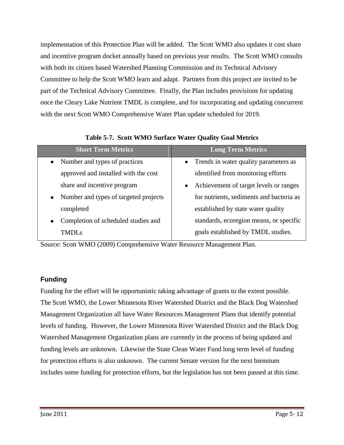implementation of this Protection Plan will be added. The Scott WMO also updates it cost share and incentive program docket annually based on previous year results. The Scott WMO consults with both its citizen based Watershed Planning Commission and its Technical Advisory Committee to help the Scott WMO learn and adapt. Partners from this project are invited to be part of the Technical Advisory Committee. Finally, the Plan includes provisions for updating once the Cleary Lake Nutrient TMDL is complete, and for incorporating and updating concurrent with the next Scott WMO Comprehensive Water Plan update scheduled for 2019.

| <b>Short Term Metrics</b>                          | <b>Long Term Metrics</b>                            |
|----------------------------------------------------|-----------------------------------------------------|
| Number and types of practices<br>$\bullet$         | • Trends in water quality parameters as             |
| approved and installed with the cost               | identified from monitoring efforts                  |
| share and incentive program                        | Achievement of target levels or ranges<br>$\bullet$ |
| Number and types of targeted projects<br>$\bullet$ | for nutrients, sediments and bacteria as            |
| completed                                          | established by state water quality                  |
| Completion of scheduled studies and                | standards, ecoregion means, or specific             |
| TMDLs                                              | goals established by TMDL studies.                  |

**Table 5-7. Scott WMO Surface Water Quality Goal Metrics**

Source: Scott WMO (2009) Comprehensive Water Resource Management Plan.

### **Funding**

Funding for the effort will be opportunistic taking advantage of grants to the extent possible. The Scott WMO, the Lower Minnesota River Watershed District and the Black Dog Watershed Management Organization all have Water Resources Management Plans that identify potential levels of funding. However, the Lower Minnesota River Watershed District and the Black Dog Watershed Management Organization plans are currently in the process of being updated and funding levels are unknown. Likewise the State Clean Water Fund long term level of funding for protection efforts is also unknown. The current Senate version for the next biennium includes some funding for protection efforts, but the legislation has not been passed at this time.